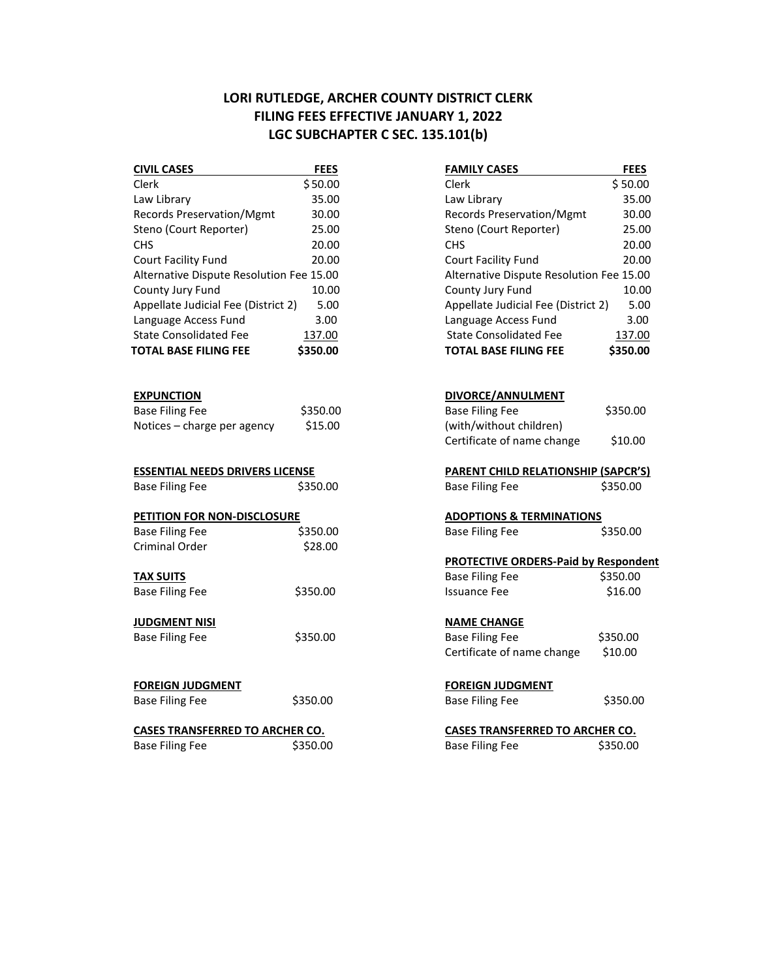## **LORI RUTLEDGE, ARCHER COUNTY DISTRICT CLERK FILING FEES EFFECTIVE JANUARY 1, 2022 LGC SUBCHAPTER C SEC. 135.101(b)**

| <b>CIVIL CASES</b>                       | <b>FEES</b> | <b>FAMILY CASES</b>                        | <b>FEES</b> |
|------------------------------------------|-------------|--------------------------------------------|-------------|
| Clerk                                    | \$50.00     | Clerk                                      | \$50.00     |
| Law Library                              | 35.00       | Law Library                                | 35.00       |
| Records Preservation/Mgmt                | 30.00       | Records Preservation/Mgmt                  | 30.00       |
| Steno (Court Reporter)                   | 25.00       | Steno (Court Reporter)                     | 25.00       |
| <b>CHS</b>                               | 20.00       | <b>CHS</b>                                 | 20.00       |
| Court Facility Fund                      | 20.00       | Court Facility Fund                        | 20.00       |
| Alternative Dispute Resolution Fee 15.00 |             | Alternative Dispute Resolution Fee 15.00   |             |
| County Jury Fund                         | 10.00       | County Jury Fund                           | 10.00       |
| Appellate Judicial Fee (District 2)      | 5.00        | Appellate Judicial Fee (District 2)        | 5.00        |
| Language Access Fund                     | 3.00        | Language Access Fund                       | 3.00        |
| <b>State Consolidated Fee</b>            | 137.00      | <b>State Consolidated Fee</b>              | 137.00      |
| <b>TOTAL BASE FILING FEE</b>             | \$350.00    | <b>TOTAL BASE FILING FEE</b>               | \$350.00    |
| <b>EXPUNCTION</b>                        |             | DIVORCE/ANNULMENT                          |             |
| <b>Base Filing Fee</b>                   | \$350.00    | <b>Base Filing Fee</b>                     | \$350.00    |
| Notices - charge per agency              | \$15.00     | (with/without children)                    |             |
|                                          |             | Certificate of name change                 | \$10.00     |
| <b>ESSENTIAL NEEDS DRIVERS LICENSE</b>   |             | <b>PARENT CHILD RELATIONSHIP (SAPCR'S)</b> |             |
| <b>Base Filing Fee</b>                   | \$350.00    | <b>Base Filing Fee</b>                     | \$350.00    |
| PETITION FOR NON-DISCLOSURE              |             | <b>ADOPTIONS &amp; TERMINATIONS</b>        |             |
| <b>Base Filing Fee</b>                   | \$350.00    | <b>Base Filing Fee</b>                     | \$350.00    |
| <b>Criminal Order</b>                    | \$28.00     |                                            |             |
|                                          |             | PROTECTIVE ORDERS-Paid by Respondent       |             |
| <b>TAX SUITS</b>                         |             | <b>Base Filing Fee</b>                     | \$350.00    |
| <b>Base Filing Fee</b>                   | \$350.00    | <b>Issuance Fee</b>                        | \$16.00     |
| <b>JUDGMENT NISI</b>                     |             | <b>NAME CHANGE</b>                         |             |
| <b>Base Filing Fee</b>                   | \$350.00    | <b>Base Filing Fee</b>                     | \$350.00    |
|                                          |             | Certificate of name change                 | \$10.00     |
| <b>FOREIGN JUDGMENT</b>                  |             | <b>FOREIGN JUDGMENT</b>                    |             |
| <b>Base Filing Fee</b>                   | \$350.00    | <b>Base Filing Fee</b>                     | \$350.00    |
| <b>CASES TRANSFERRED TO ARCHER CO.</b>   |             | <b>CASES TRANSFERRED TO ARCHER CO.</b>     |             |
| <b>Base Filing Fee</b>                   | \$350.00    | <b>Base Filing Fee</b>                     | \$350.00    |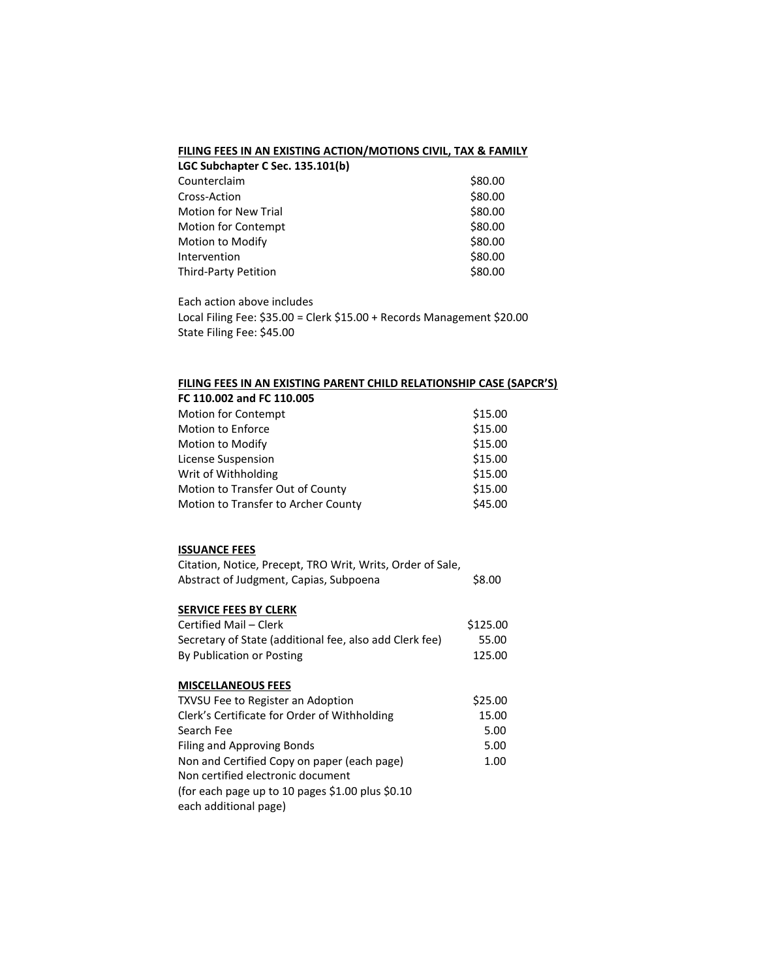### **FILING FEES IN AN EXISTING ACTION/MOTIONS CIVIL, TAX & FAMILY**

| LGC Subchapter C Sec. 135.101(b) |         |
|----------------------------------|---------|
| Counterclaim                     | \$80.00 |
| Cross-Action                     | \$80.00 |
| <b>Motion for New Trial</b>      | \$80.00 |
| <b>Motion for Contempt</b>       | \$80.00 |
| Motion to Modify                 | \$80.00 |
| Intervention                     | \$80.00 |
| Third-Party Petition             | \$80.00 |
|                                  |         |

Each action above includes Local Filing Fee: \$35.00 = Clerk \$15.00 + Records Management \$20.00 State Filing Fee: \$45.00

### **FILING FEES IN AN EXISTING PARENT CHILD RELATIONSHIP CASE (SAPCR'S)**

| FC 110.002 and FC 110.005           |         |
|-------------------------------------|---------|
| Motion for Contempt                 | \$15.00 |
| <b>Motion to Enforce</b>            | \$15.00 |
| Motion to Modify                    | \$15.00 |
| License Suspension                  | \$15.00 |
| Writ of Withholding                 | \$15.00 |
| Motion to Transfer Out of County    | \$15.00 |
| Motion to Transfer to Archer County | \$45.00 |

# **ISSUANCE FEES**

| .                                                          |        |
|------------------------------------------------------------|--------|
| Citation, Notice, Precept, TRO Writ, Writs, Order of Sale, |        |
| Abstract of Judgment, Capias, Subpoena                     | \$8.00 |

## **SERVICE FEES BY CLERK**

| Certified Mail – Clerk                                  | \$125.00 |
|---------------------------------------------------------|----------|
| Secretary of State (additional fee, also add Clerk fee) | 55.00    |
| By Publication or Posting                               | 125.00   |

#### **MISCELLANEOUS FEES**

| <b>TXVSU Fee to Register an Adoption</b>         | \$25.00 |
|--------------------------------------------------|---------|
| Clerk's Certificate for Order of Withholding     | 15.00   |
| Search Fee                                       | 5.00    |
| Filing and Approving Bonds                       | 5.00    |
| Non and Certified Copy on paper (each page)      | 1.00    |
| Non certified electronic document                |         |
| (for each page up to 10 pages \$1.00 plus \$0.10 |         |
| each additional page)                            |         |